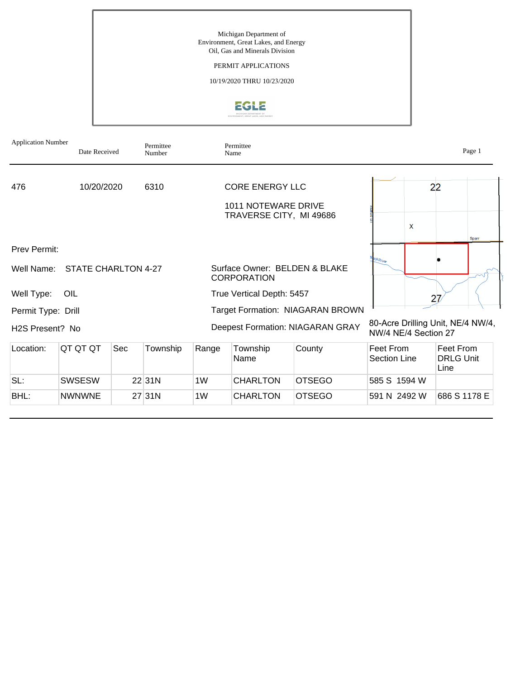## PERMIT APPLICATIONS

10/19/2020 THRU 10/23/2020



| <b>Application Number</b>    | Date Received       |     | Permittee<br>Number |                                                     | Permittee<br>Name                                     |                                  |                                                |   | Page 1                                |
|------------------------------|---------------------|-----|---------------------|-----------------------------------------------------|-------------------------------------------------------|----------------------------------|------------------------------------------------|---|---------------------------------------|
| 476                          | 10/20/2020          |     | 6310                |                                                     | <b>CORE ENERGY LLC</b>                                |                                  |                                                |   | 22                                    |
|                              |                     |     |                     |                                                     | <b>1011 NOTEWARE DRIVE</b><br>TRAVERSE CITY, MI 49686 |                                  |                                                |   |                                       |
|                              |                     |     |                     |                                                     |                                                       |                                  |                                                | X | Sparr                                 |
| Prev Permit:                 |                     |     |                     |                                                     |                                                       |                                  |                                                |   |                                       |
| Well Name:                   | STATE CHARLTON 4-27 |     |                     | Surface Owner: BELDEN & BLAKE<br><b>CORPORATION</b> |                                                       |                                  | $\frac{\partial c k_{R}}{\partial \mathbf{q}}$ |   |                                       |
| Well Type:                   | OIL                 |     |                     |                                                     | True Vertical Depth: 5457                             |                                  |                                                |   | 27                                    |
| Permit Type: Drill           |                     |     |                     | Target Formation: NIAGARAN BROWN                    |                                                       |                                  |                                                |   |                                       |
| H <sub>2</sub> S Present? No |                     |     |                     |                                                     |                                                       | Deepest Formation: NIAGARAN GRAY | NW/4 NE/4 Section 27                           |   | 80-Acre Drilling Unit, NE/4 NW/4,     |
| Location:                    | QT QT QT            | Sec | Township            | Range                                               | Township<br>Name                                      | County                           | Feet From<br>Section Line                      |   | Feet From<br><b>DRLG Unit</b><br>Line |
| SL:                          | <b>SWSESW</b>       |     | 22 31N              | 1W                                                  | CHARLTON                                              | <b>OTSEGO</b>                    | 585 S 1594 W                                   |   |                                       |
| BHL:                         | <b>NWNWNE</b>       |     | 27 31 N             | 1W                                                  | CHARLTON                                              | <b>OTSEGO</b>                    | 591 N 2492 W                                   |   | 686 S 1178 E                          |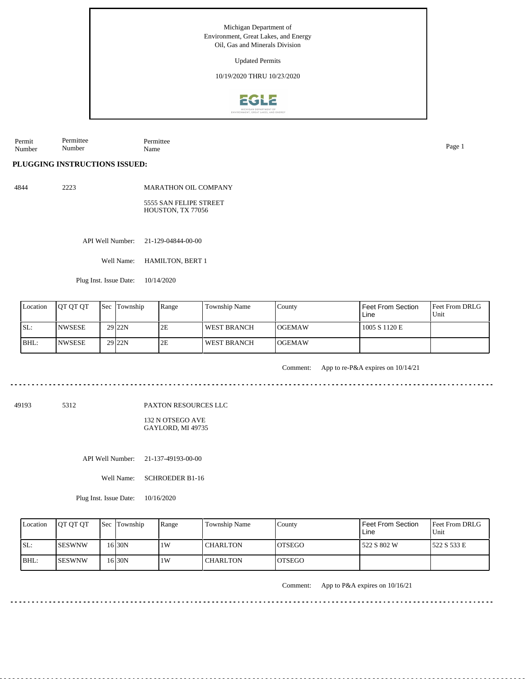Updated Permits

10/19/2020 THRU 10/23/2020



Permit Number Permittee Number Permittee Name Page 1

**PLUGGING INSTRUCTIONS ISSUED:**

4844 2223

MARATHON OIL COMPANY 5555 SAN FELIPE STREET HOUSTON, TX 77056

API Well Number: 21-129-04844-00-00

Well Name: HAMILTON, BERT 1

Plug Inst. Issue Date: 10/14/2020

| Location | <b>OT OT OT</b> | <b>Sec</b> Township | Range | Township Name      | County         | Feet From Section<br>Line | <b>Feet From DRLG</b><br>Unit |
|----------|-----------------|---------------------|-------|--------------------|----------------|---------------------------|-------------------------------|
| ISL:     | <b>INWSESE</b>  | 29 <sub>22N</sub>   | 2E    | <b>WEST BRANCH</b> | <b>IOGEMAW</b> | 1005 S 1120 E             |                               |
| BHL:     | <b>INWSESE</b>  | 29 <sub>22N</sub>   | 2E    | <b>WEST BRANCH</b> | <b>IOGEMAW</b> |                           |                               |

Comment: App to re-P&A expires on 10/14/21

49193 5312

PAXTON RESOURCES LLC

132 N OTSEGO AVE GAYLORD, MI 49735

API Well Number: 21-137-49193-00-00

Well Name: SCHROEDER B1-16

Plug Inst. Issue Date: 10/16/2020

| Location | <b>OT OT OT</b> | <b>Sec</b> Township | Range | Township Name   | County         | <b>Feet From Section</b><br>Line | <b>Feet From DRLG</b><br>Unit |
|----------|-----------------|---------------------|-------|-----------------|----------------|----------------------------------|-------------------------------|
| ISL:     | ISESWNW         | 16 <sub>30N</sub>   | 1W    | <b>CHARLTON</b> | <b>IOTSEGO</b> | 522 S 802 W                      | 1522 S 533 E                  |
| $IBHL$ : | <b>ISESWNW</b>  | 16 30N              | 1W    | <b>CHARLTON</b> | <b>IOTSEGO</b> |                                  |                               |

Comment: App to P&A expires on 10/16/21

<u>. . . . . . . . .</u>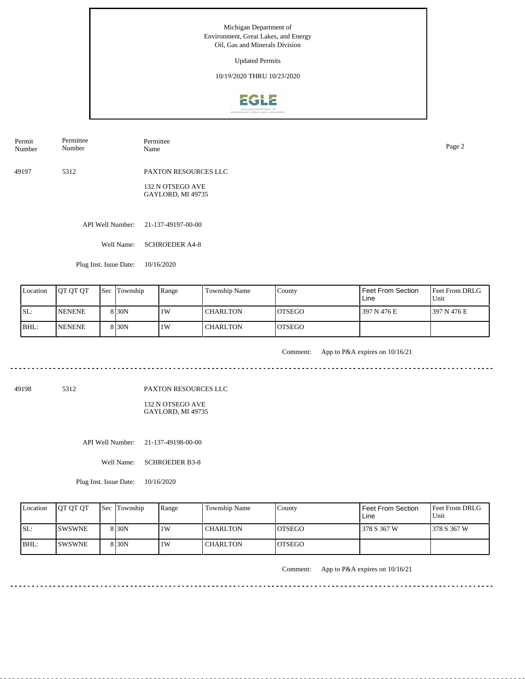Updated Permits

10/19/2020 THRU 10/23/2020



Permit Number Permittee Number Permittee Name Page 2

49197 5312 PAXTON RESOURCES LLC

> 132 N OTSEGO AVE GAYLORD, MI 49735

API Well Number: 21-137-49197-00-00

Well Name: SCHROEDER A4-8

Plug Inst. Issue Date: 10/16/2020

| Location | <b>OT OT OT</b> | <b>Sec</b> Township | Range | Township Name   | County         | Feet From Section<br>Line | <b>Feet From DRLG</b><br>Unit |
|----------|-----------------|---------------------|-------|-----------------|----------------|---------------------------|-------------------------------|
| SL:      | <b>INENENE</b>  | 8 <sub>130</sub> N  | 1W    | <b>CHARLTON</b> | <b>IOTSEGO</b> | 397 N 476 E               | 1397 N 476 E                  |
| BHL:     | <b>INENENE</b>  | 8 <sub>30</sub> N   | 1W    | <b>CHARLTON</b> | <b>IOTSEGO</b> |                           |                               |

<u>. . . . . . . .</u>

Comment: App to P&A expires on 10/16/21

ت با با با با با با

49198 5312

PAXTON RESOURCES LLC

132 N OTSEGO AVE GAYLORD, MI 49735

API Well Number: 21-137-49198-00-00

Well Name: SCHROEDER B3-8

Plug Inst. Issue Date: 10/16/2020

| Location | <b>OT OT OT</b> | <b>Sec Township</b> | Range | Township Name   | County         | Feet From Section<br>Line | <b>Feet From DRLG</b><br>Unit |
|----------|-----------------|---------------------|-------|-----------------|----------------|---------------------------|-------------------------------|
| ISL:     | <b>ISWSWNE</b>  | 8 30N               | 1W    | <b>CHARLTON</b> | <b>IOTSEGO</b> | 378 S 367 W               | 1378 S 367 W                  |
| BHL:     | <b>ISWSWNE</b>  | 8 30N               | ١W    | <b>CHARLTON</b> | <b>IOTSEGO</b> |                           |                               |

Comment: App to P&A expires on 10/16/21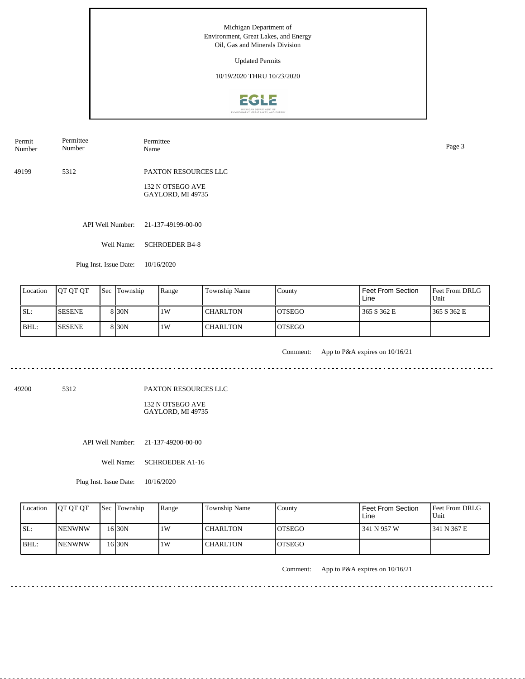Updated Permits

10/19/2020 THRU 10/23/2020



Permit Number Permittee Number Permittee Name Page 3

49199 5312 PAXTON RESOURCES LLC

> 132 N OTSEGO AVE GAYLORD, MI 49735

API Well Number: 21-137-49199-00-00

Well Name: SCHROEDER B4-8

Plug Inst. Issue Date: 10/16/2020

| Location | <b>OT OT OT</b> | <b>Sec Township</b> | Range | Township Name   | County         | <b>Feet From Section</b><br>Line | <b>Feet From DRLG</b><br>Unit |
|----------|-----------------|---------------------|-------|-----------------|----------------|----------------------------------|-------------------------------|
| ISL:     | <b>ISESENE</b>  | 8 <sub>30</sub> N   | 1W    | <b>CHARLTON</b> | <b>IOTSEGO</b> | 365 S 362 E                      | 1365 S 362 E                  |
| BHL:     | <b>ISESENE</b>  | 8 <sub>30</sub> N   | 1W    | <b>CHARLTON</b> | <b>IOTSEGO</b> |                                  |                               |

. . . . . . .

Comment: App to P&A expires on 10/16/21

ت با با با با با با

49200 5312

PAXTON RESOURCES LLC

132 N OTSEGO AVE GAYLORD, MI 49735

API Well Number: 21-137-49200-00-00

Well Name: SCHROEDER A1-16

Plug Inst. Issue Date: 10/16/2020

| Location | <b>OT OT OT</b> | <b>Sec Township</b> | Range | Township Name   | County         | Feet From Section<br>Line | <b>Feet From DRLG</b><br>Unit |
|----------|-----------------|---------------------|-------|-----------------|----------------|---------------------------|-------------------------------|
| ISL:     | <b>INENWNW</b>  | 16 30N              | 1W    | <b>CHARLTON</b> | IOTSEGO        | 341 N 957 W               | 1341 N 367 E                  |
| BHL:     | <b>INENWNW</b>  | 16 <sub>30N</sub>   | 1W    | CHARLTON        | <b>IOTSEGO</b> |                           |                               |

Comment: App to P&A expires on 10/16/21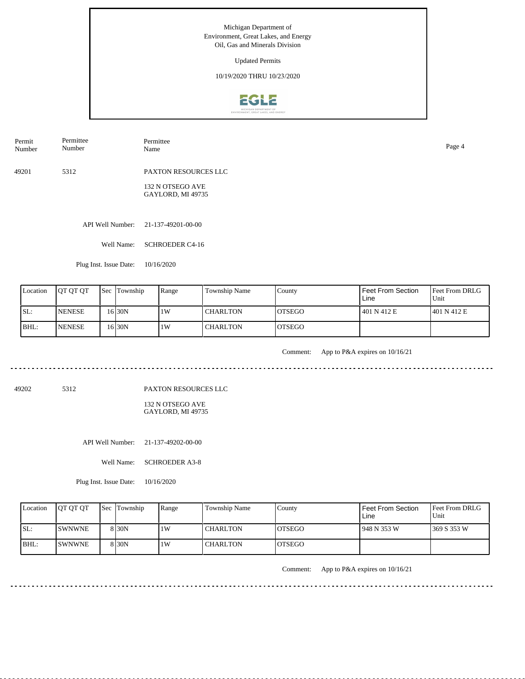Updated Permits

10/19/2020 THRU 10/23/2020



Permit Number Permittee Number Permittee Name Page 4

49201 5312 PAXTON RESOURCES LLC

> 132 N OTSEGO AVE GAYLORD, MI 49735

API Well Number: 21-137-49201-00-00

Well Name: SCHROEDER C4-16

Plug Inst. Issue Date: 10/16/2020

| Location | <b>IOT OT OT</b> | <b>Sec</b> Township | Range | Township Name   | County         | Feet From Section<br>Line | <b>Feet From DRLG</b><br>Unit |
|----------|------------------|---------------------|-------|-----------------|----------------|---------------------------|-------------------------------|
| ISL:     | <b>INENESE</b>   | 16 30N              | 1W    | <b>CHARLTON</b> | <b>IOTSEGO</b> | 401 N 412 E               | 1401 N 412 E                  |
| BHL:     | <b>INENESE</b>   | 16 30N              | 1W    | <b>CHARLTON</b> | <b>IOTSEGO</b> |                           |                               |

. . . . . . .

Comment: App to P&A expires on 10/16/21

ت با با با با با با

49202 5312

PAXTON RESOURCES LLC

132 N OTSEGO AVE GAYLORD, MI 49735

API Well Number: 21-137-49202-00-00

Well Name: SCHROEDER A3-8

Plug Inst. Issue Date: 10/16/2020

| Location | <b>OT OT OT</b> | <b>Sec</b> Township | Range | Township Name   | County         | Feet From Section<br>Line | Feet From DRLG<br>Unit |
|----------|-----------------|---------------------|-------|-----------------|----------------|---------------------------|------------------------|
| ISL:     | <b>ISWNWNE</b>  | 8 I 30 N            | 1W    | <b>CHARLTON</b> | <b>IOTSEGO</b> | 1948 N 353 W              | 1369 S 353 W           |
| BHL:     | <b>ISWNWNE</b>  | 8 I 30 N            | 1W    | <b>CHARLTON</b> | <b>IOTSEGO</b> |                           |                        |

Comment: App to P&A expires on 10/16/21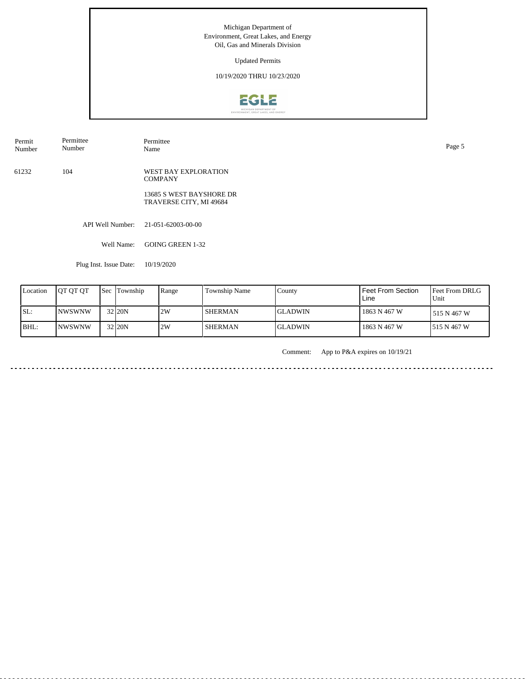Updated Permits

10/19/2020 THRU 10/23/2020



API Well Number: 21-051-62003-00-00 Well Name: GOING GREEN 1-32 61232 104 WEST BAY EXPLORATION COMPANY 13685 S WEST BAYSHORE DR TRAVERSE CITY, MI 49684 Permit Number Permittee Number Permittee<br>Name Name Page 5

Plug Inst. Issue Date: 10/19/2020

| Location | <b>JOT OT OT</b> | <b>Sec Township</b> | Range | Township Name  | County          | <b>Feet From Section</b><br>Line | Feet From DRLG<br>Unit |
|----------|------------------|---------------------|-------|----------------|-----------------|----------------------------------|------------------------|
| SL:      | INWSWNW          | 32 20N              | 2W    | <b>SHERMAN</b> | <b>IGLADWIN</b> | 1863 N 467 W                     | 515 N 467 W            |
| BHL:     | INWSWNW          | 32 20N              | 2W    | <b>SHERMAN</b> | <b>IGLADWIN</b> | 1863 N 467 W                     | 1515 N 467 W           |

Comment: App to P&A expires on 10/19/21

د د د د د د د د د <u>. . . . . . . . .</u>  $\sim$   $\sim$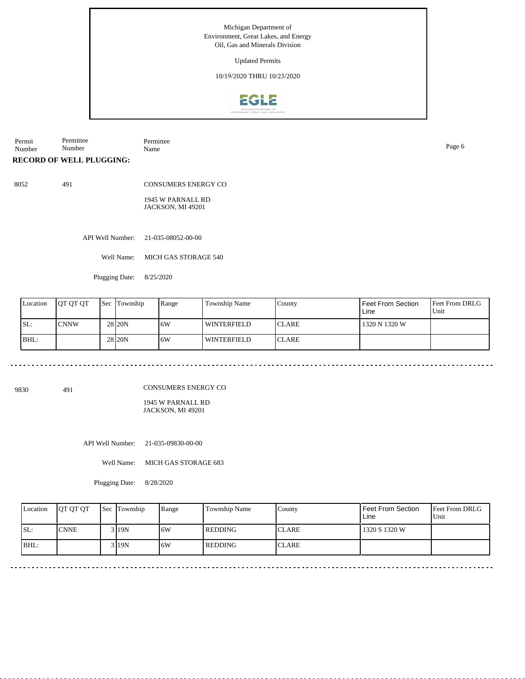Updated Permits

10/19/2020 THRU 10/23/2020



Permit Number Permittee Number Permittee Name Page 6

**RECORD OF WELL PLUGGING:**

8052 491

CONSUMERS ENERGY CO 1945 W PARNALL RD JACKSON, MI 49201

API Well Number: 21-035-08052-00-00

Well Name: MICH GAS STORAGE 540

Plugging Date: 8/25/2020

| Location | <b>IOT OT OT</b> | <b>Sec</b> Township | Range | Township Name      | l County      | <b>Feet From Section</b><br>Line | <b>Feet From DRLG</b><br>Unit |
|----------|------------------|---------------------|-------|--------------------|---------------|----------------------------------|-------------------------------|
| SL:      | <b>CNNW</b>      | 28 <sub>120</sub> N | 16W   | <b>WINTERFIELD</b> | <b>ICLARE</b> | 1320 N 1320 W                    |                               |
| BHL:     |                  | 28 <sub>120</sub> N | 16W   | <b>WINTERFIELD</b> | <b>ICLARE</b> |                                  |                               |

9830 491

CONSUMERS ENERGY CO

1945 W PARNALL RD JACKSON, MI 49201

API Well Number: 21-035-09830-00-00

Well Name: MICH GAS STORAGE 683

Plugging Date: 8/28/2020

| Location | <b>OT OT OT</b> | <b>Sec</b> Township | Range | Township Name  | County       | Feet From Section<br>Line | <b>Feet From DRLG</b><br>Unit |
|----------|-----------------|---------------------|-------|----------------|--------------|---------------------------|-------------------------------|
| ISL:     | <b>CNNE</b>     | $3$  19N            | .6W   | <b>REDDING</b> | <b>CLARE</b> | 1320 S 1320 W             |                               |
| BHL:     |                 | 3 1 1 9 N           | 6W    | <b>REDDING</b> | <b>CLARE</b> |                           |                               |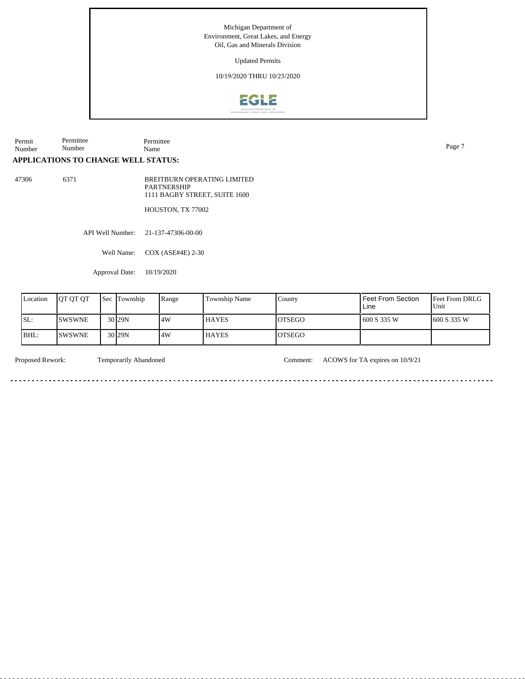Updated Permits

10/19/2020 THRU 10/23/2020



Permit Number Permittee Number Permittee Name Page 7

# **APPLICATIONS TO CHANGE WELL STATUS:**

47306 6371

BREITBURN OPERATING LIMITED PARTNERSHIP 1111 BAGBY STREET, SUITE 1600

HOUSTON, TX 77002

API Well Number: 21-137-47306-00-00

Well Name: COX (ASE#4E) 2-30

Approval Date: 10/19/2020

| Location | <b>OT OT OT</b> | <b>Sec</b> | Township           | Range | <b>Township Name</b> | County        | Feet From Section<br>Line | <b>Feet From DRLG</b><br>Unit |
|----------|-----------------|------------|--------------------|-------|----------------------|---------------|---------------------------|-------------------------------|
| SL:      | <b>SWSWNE</b>   |            | 30 <sub>129N</sub> | 4W    | <b>HAYES</b>         | <b>OTSEGO</b> | 600 S 335 W               | 1600 S 335 W                  |
| IBHL:    | <b>SWSWNE</b>   |            | 30 <sub>129N</sub> | .4W   | <b>HAYES</b>         | <b>OTSEGO</b> |                           |                               |

Proposed Rework: Temporarily Abandoned Comment: ACOWS for TA expires on 10/9/21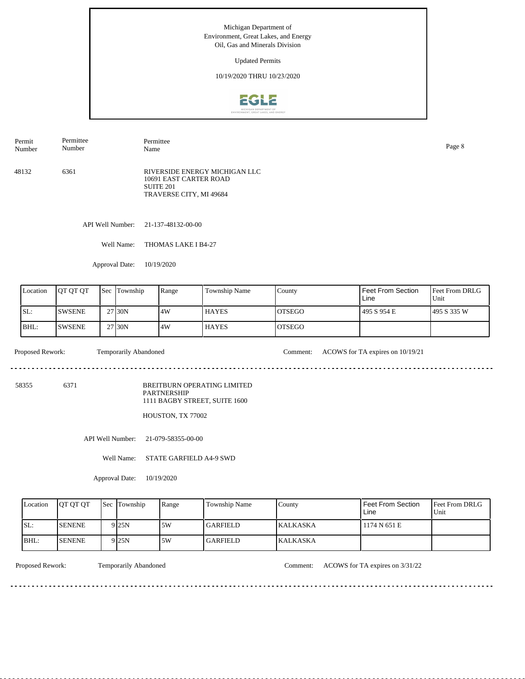Updated Permits

10/19/2020 THRU 10/23/2020



48132 6361 RIVERSIDE ENERGY MICHIGAN LLC 10691 EAST CARTER ROAD SUITE 201 TRAVERSE CITY, MI 49684 Permit Number Permittee Number Permittee Name Page 8

API Well Number: 21-137-48132-00-00

Well Name: THOMAS LAKE I B4-27

Approval Date: 10/19/2020

| Location | <b>OT OT OT</b> | <b>Sec</b> | Township | Range | Township Name | County  | Feet From Section<br>Line | <b>Feet From DRLG</b><br>Unit |
|----------|-----------------|------------|----------|-------|---------------|---------|---------------------------|-------------------------------|
| ISL:     | <b>SWSENE</b>   |            | 27 30N   | .4W   | <b>HAYES</b>  | IOTSEGO | 495 S 954 E               | 1495 S 335 W                  |
| BHL:     | <b>SWSENE</b>   |            | 27 30N   | 4W    | <b>HAYES</b>  | IOTSEGO |                           |                               |

 $\frac{1}{2}$ 

Proposed Rework: Temporarily Abandoned Comment: ACOWS for TA expires on 10/19/21

<u>. . . . . . . . . . . . .</u>

 $\frac{1}{2}$ 

58355 6371

BREITBURN OPERATING LIMITED

PARTNERSHIP 1111 BAGBY STREET, SUITE 1600

HOUSTON, TX 77002

API Well Number: 21-079-58355-00-00

Well Name: STATE GARFIELD A4-9 SWD

Approval Date: 10/19/2020

| Location | <b>OT OT OT</b> | Sec Township      | Range | Township Name   | County   | Feet From Section<br>Line | <b>Feet From DRLG</b><br>Unit |
|----------|-----------------|-------------------|-------|-----------------|----------|---------------------------|-------------------------------|
| ISL:     | <b>SENENE</b>   | 9 <sub>25N</sub>  | .5W   | <b>GARFIELD</b> | KALKASKA | 1174 N 651 E              |                               |
| BHL:     | <b>SENENE</b>   | 9 <sub>125N</sub> | .5W   | GARFIELD        | KALKASKA |                           |                               |

Proposed Rework: Temporarily Abandoned Comment: ACOWS for TA expires on 3/31/22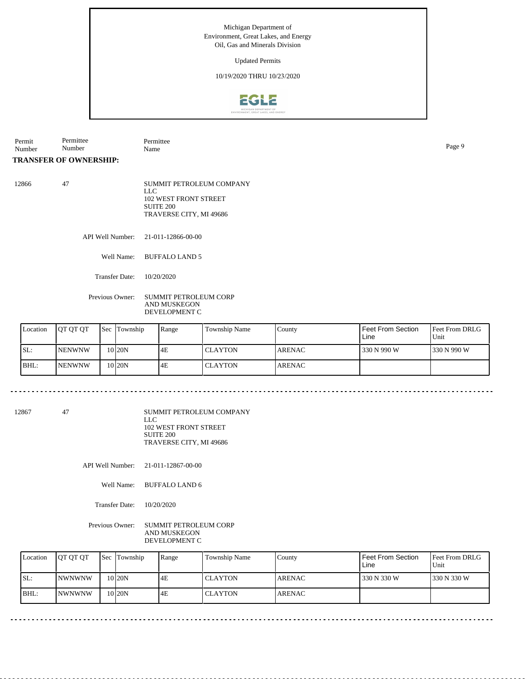Updated Permits

## 10/19/2020 THRU 10/23/2020



Permit Number Permittee Number Permittee Name Page 9

### **TRANSFER OF OWNERSHIP:**

| 12866 | SUMMIT PETROLEUM COMPANY |
|-------|--------------------------|
|       | LLC.                     |
|       | 102 WEST FRONT STREET    |
|       | SUITE 200                |
|       | TRAVERSE CITY, MI 49686  |
|       |                          |

API Well Number: 21-011-12866-00-00

Well Name: BUFFALO LAND 5

Transfer Date: 10/20/2020

#### Previous Owner: SUMMIT PETROLEUM CORP AND MUSKEGON DEVELOPMENT C

| Location | <b>IOT OT OT</b> | <b>Sec</b> Township | Range | Township Name  | Countv        | l Feet From Section<br>Line | <b>Feet From DRLG</b><br>Unit |
|----------|------------------|---------------------|-------|----------------|---------------|-----------------------------|-------------------------------|
| ISL:     | <b>INENWNW</b>   | 10 <sub>20N</sub>   | 4E    | <b>CLAYTON</b> | <b>ARENAC</b> | 330 N 990 W                 | 1330 N 990 W                  |
| IBHL:    | <b>INENWNW</b>   | 10 20N              | 4E    | <b>CLAYTON</b> | <b>ARENAC</b> |                             |                               |

12867 47

SUMMIT PETROLEUM COMPANY LLC 102 WEST FRONT STREET SUITE 200 TRAVERSE CITY, MI 49686

API Well Number: 21-011-12867-00-00

Well Name: BUFFALO LAND 6

Transfer Date: 10/20/2020

Previous Owner: SUMMIT PETROLEUM CORP AND MUSKEGON DEVELOPMENT C

| Location | <b>IOT OT OT</b> | <b>Sec</b> Township | Range | Township Name  | County        | Feet From Section<br>Line | <b>Feet From DRLG</b><br>Unit |
|----------|------------------|---------------------|-------|----------------|---------------|---------------------------|-------------------------------|
| SL:      | <b>INWNWNW</b>   | 10 <sub>120</sub> N | I4F   | <b>CLAYTON</b> | <b>ARENAC</b> | 330 N 330 W               | 1330 N 330 W                  |
| BHL:     | <b>INWNWNW</b>   | 10 <sub>120</sub> N | l 4E  | <b>CLAYTON</b> | <b>ARENAC</b> |                           |                               |

 $- - - - - -$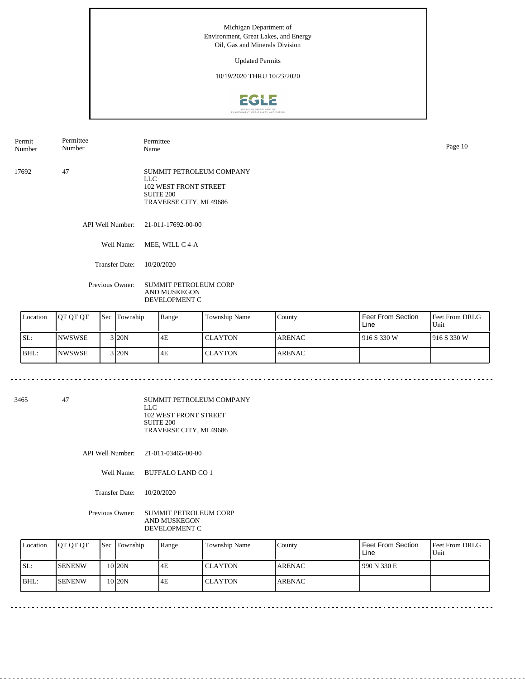Updated Permits

## 10/19/2020 THRU 10/23/2020



API Well Number: 21-011-17692-00-00 Well Name: MEE, WILL C 4-A 17692 47 SUMMIT PETROLEUM COMPANY LLC 102 WEST FRONT STREET SUITE 200 TRAVERSE CITY, MI 49686 Permit Number Permittee Number Permittee Name Page 10

Transfer Date: 10/20/2020

Previous Owner: SUMMIT PETROLEUM CORP AND MUSKEGON DEVELOPMENT C

| Location | <b>IOT OT OT</b> | <b>Sec</b> Township | Range | <b>Township Name</b> | County        | Feet From Section<br>Line | <b>Feet From DRLG</b><br>Unit |
|----------|------------------|---------------------|-------|----------------------|---------------|---------------------------|-------------------------------|
| SL:      | <b>INWSWSE</b>   | $3$ <sub>20</sub> N | 4E    | <b>CLAYTON</b>       | <b>ARENAC</b> | 916 S 330 W               | 1916S330W                     |
| BHL:     | <b>INWSWSE</b>   | $3$ 20N             | 4E    | <b>CLAYTON</b>       | <b>ARENAC</b> |                           |                               |

<u> - - - - - - - - - - -</u>

3465 47

SUMMIT PETROLEUM COMPANY LLC 102 WEST FRONT STREET

SUITE 200 TRAVERSE CITY, MI 49686

API Well Number: 21-011-03465-00-00

Well Name: BUFFALO LAND CO 1

Transfer Date: 10/20/2020

Previous Owner: SUMMIT PETROLEUM CORP AND MUSKEGON DEVELOPMENT C

| Location | <b>IOT OT OT</b> | <b>Sec</b> Township | Range | Township Name  | Countv        | Feet From Section<br>Line | l Feet From DRLG<br>Unit |
|----------|------------------|---------------------|-------|----------------|---------------|---------------------------|--------------------------|
| SL:      | <b>SENENW</b>    | 10 <sub>20N</sub>   | 4E    | <b>CLAYTON</b> | <b>ARENAC</b> | 990 N 330 E               |                          |
| BHL      | <b>SENENW</b>    | 10 I20N             | 4E    | <b>CLAYTON</b> | <b>ARENAC</b> |                           |                          |